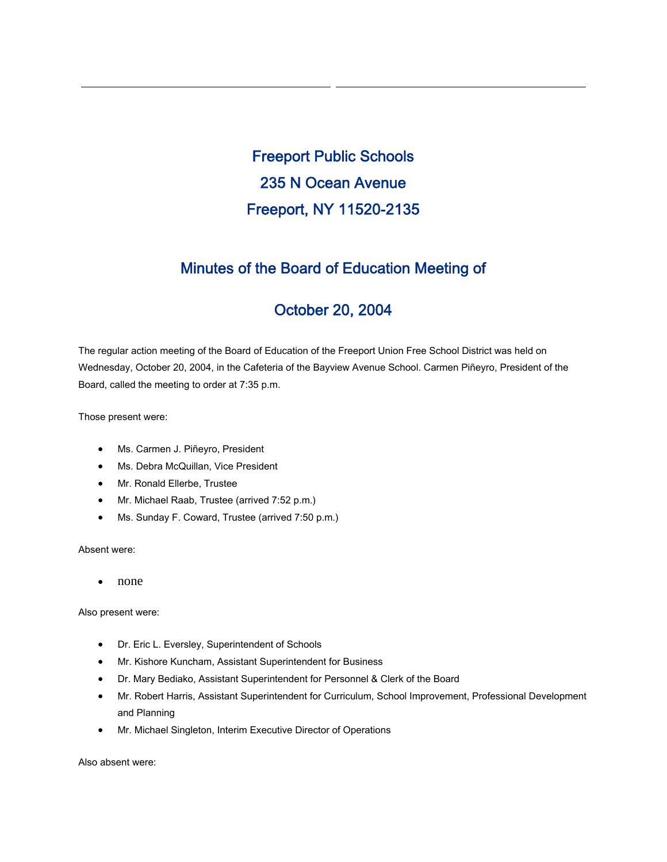Freeport Public Schools 235 N Ocean Avenue Freeport, NY 11520-2135

# Minutes of the Board of Education Meeting of

# October 20, 2004

The regular action meeting of the Board of Education of the Freeport Union Free School District was held on Wednesday, October 20, 2004, in the Cafeteria of the Bayview Avenue School. Carmen Piñeyro, President of the Board, called the meeting to order at 7:35 p.m.

Those present were:

- Ms. Carmen J. Piñeyro, President
- Ms. Debra McQuillan, Vice President
- Mr. Ronald Ellerbe, Trustee
- Mr. Michael Raab, Trustee (arrived 7:52 p.m.)
- Ms. Sunday F. Coward, Trustee (arrived 7:50 p.m.)

Absent were:

• none

Also present were:

- Dr. Eric L. Eversley, Superintendent of Schools
- Mr. Kishore Kuncham, Assistant Superintendent for Business
- Dr. Mary Bediako, Assistant Superintendent for Personnel & Clerk of the Board
- Mr. Robert Harris, Assistant Superintendent for Curriculum, School Improvement, Professional Development and Planning
- Mr. Michael Singleton, Interim Executive Director of Operations

Also absent were: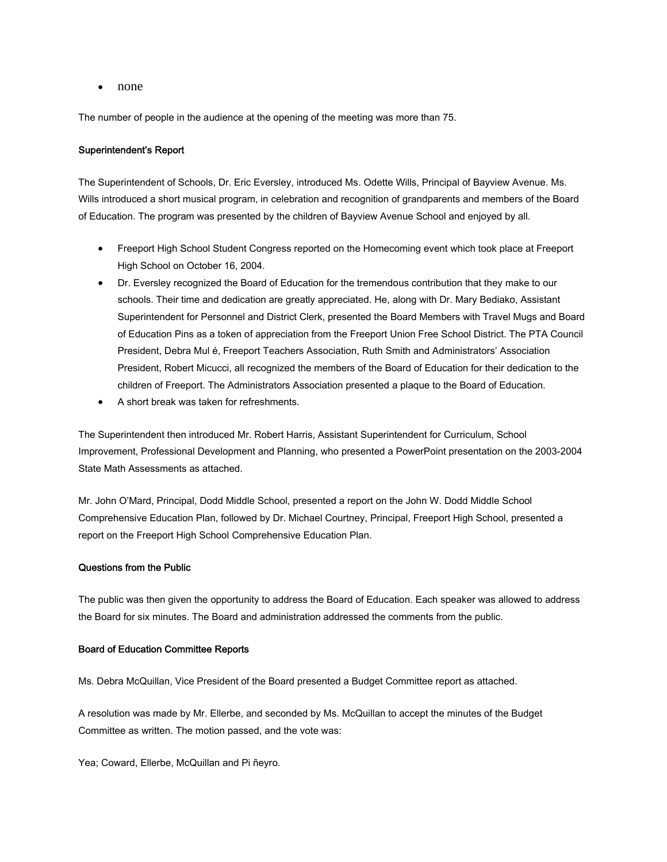• none

The number of people in the audience at the opening of the meeting was more than 75.

### Superintendent's Report

The Superintendent of Schools, Dr. Eric Eversley, introduced Ms. Odette Wills, Principal of Bayview Avenue. Ms. Wills introduced a short musical program, in celebration and recognition of grandparents and members of the Board of Education. The program was presented by the children of Bayview Avenue School and enjoyed by all.

- Freeport High School Student Congress reported on the Homecoming event which took place at Freeport High School on October 16, 2004.
- Dr. Eversley recognized the Board of Education for the tremendous contribution that they make to our schools. Their time and dedication are greatly appreciated. He, along with Dr. Mary Bediako, Assistant Superintendent for Personnel and District Clerk, presented the Board Members with Travel Mugs and Board of Education Pins as a token of appreciation from the Freeport Union Free School District. The PTA Council President, Debra Mul é, Freeport Teachers Association, Ruth Smith and Administrators' Association President, Robert Micucci, all recognized the members of the Board of Education for their dedication to the children of Freeport. The Administrators Association presented a plaque to the Board of Education.
- A short break was taken for refreshments.

The Superintendent then introduced Mr. Robert Harris, Assistant Superintendent for Curriculum, School Improvement, Professional Development and Planning, who presented a PowerPoint presentation on the 2003-2004 State Math Assessments as attached.

Mr. John O'Mard, Principal, Dodd Middle School, presented a report on the John W. Dodd Middle School Comprehensive Education Plan, followed by Dr. Michael Courtney, Principal, Freeport High School, presented a report on the Freeport High School Comprehensive Education Plan.

#### Questions from the Public

The public was then given the opportunity to address the Board of Education. Each speaker was allowed to address the Board for six minutes. The Board and administration addressed the comments from the public.

#### Board of Education Committee Reports

Ms. Debra McQuillan, Vice President of the Board presented a Budget Committee report as attached.

A resolution was made by Mr. Ellerbe, and seconded by Ms. McQuillan to accept the minutes of the Budget Committee as written. The motion passed, and the vote was:

Yea; Coward, Ellerbe, McQuillan and Pi ñeyro.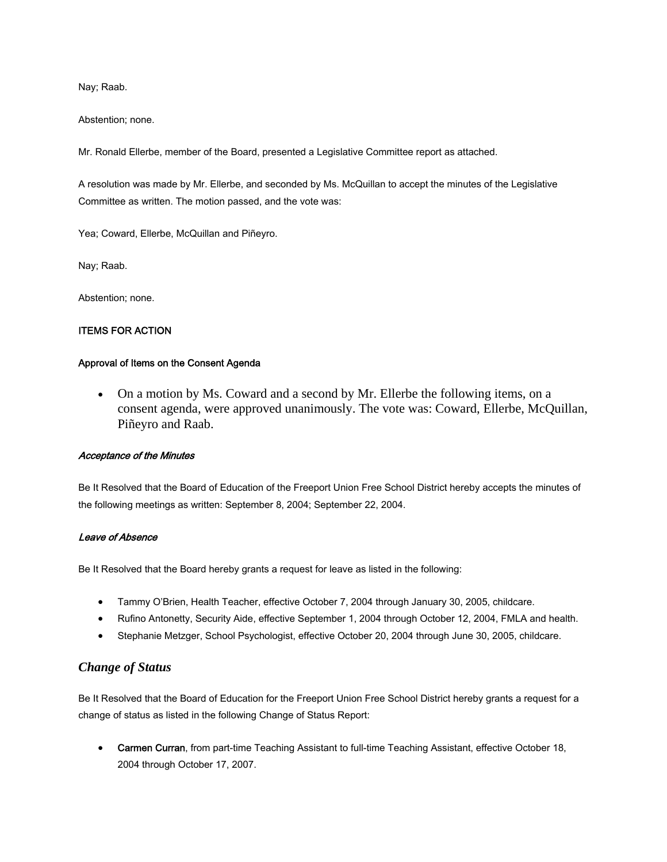Nay; Raab.

Abstention; none.

Mr. Ronald Ellerbe, member of the Board, presented a Legislative Committee report as attached.

A resolution was made by Mr. Ellerbe, and seconded by Ms. McQuillan to accept the minutes of the Legislative Committee as written. The motion passed, and the vote was:

Yea; Coward, Ellerbe, McQuillan and Piñeyro.

Nay; Raab.

Abstention; none.

### ITEMS FOR ACTION

### Approval of Items on the Consent Agenda

• On a motion by Ms. Coward and a second by Mr. Ellerbe the following items, on a consent agenda, were approved unanimously. The vote was: Coward, Ellerbe, McQuillan, Piñeyro and Raab.

### Acceptance of the Minutes

Be It Resolved that the Board of Education of the Freeport Union Free School District hereby accepts the minutes of the following meetings as written: September 8, 2004; September 22, 2004.

#### Leave of Absence

Be It Resolved that the Board hereby grants a request for leave as listed in the following:

- Tammy O'Brien, Health Teacher, effective October 7, 2004 through January 30, 2005, childcare.
- Rufino Antonetty, Security Aide, effective September 1, 2004 through October 12, 2004, FMLA and health.
- Stephanie Metzger, School Psychologist, effective October 20, 2004 through June 30, 2005, childcare.

### *Change of Status*

Be It Resolved that the Board of Education for the Freeport Union Free School District hereby grants a request for a change of status as listed in the following Change of Status Report:

• Carmen Curran, from part-time Teaching Assistant to full-time Teaching Assistant, effective October 18, 2004 through October 17, 2007.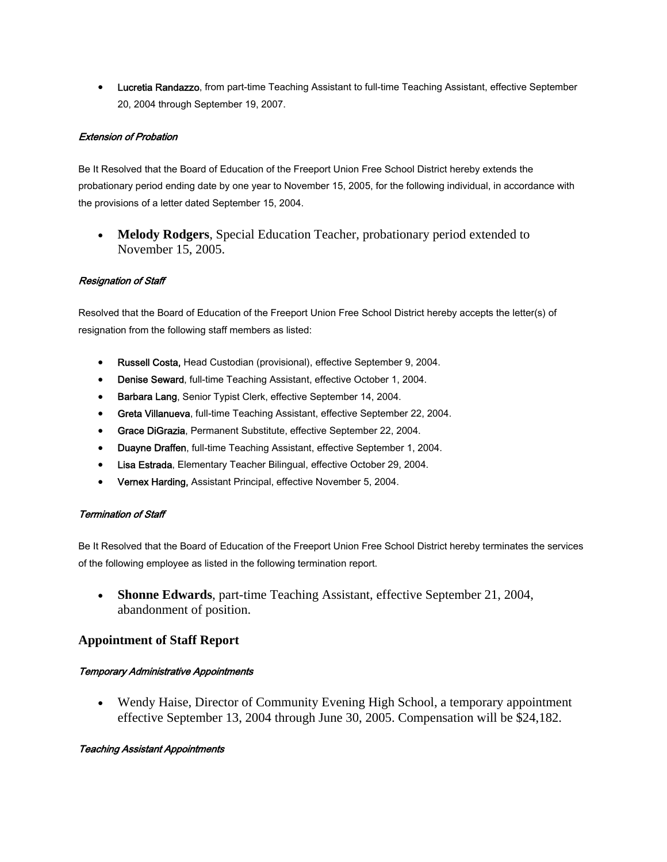**Lucretia Randazzo**, from part-time Teaching Assistant to full-time Teaching Assistant, effective September 20, 2004 through September 19, 2007.

# Extension of Probation

Be It Resolved that the Board of Education of the Freeport Union Free School District hereby extends the probationary period ending date by one year to November 15, 2005, for the following individual, in accordance with the provisions of a letter dated September 15, 2004.

• **Melody Rodgers**, Special Education Teacher, probationary period extended to November 15, 2005.

# Resignation of Staff

Resolved that the Board of Education of the Freeport Union Free School District hereby accepts the letter(s) of resignation from the following staff members as listed:

- Russell Costa, Head Custodian (provisional), effective September 9, 2004.
- Denise Seward, full-time Teaching Assistant, effective October 1, 2004.
- Barbara Lang, Senior Typist Clerk, effective September 14, 2004.
- Greta Villanueva, full-time Teaching Assistant, effective September 22, 2004.
- Grace DiGrazia, Permanent Substitute, effective September 22, 2004.
- Duayne Draffen, full-time Teaching Assistant, effective September 1, 2004.
- Lisa Estrada, Elementary Teacher Bilingual, effective October 29, 2004.
- Vernex Harding, Assistant Principal, effective November 5, 2004.

# Termination of Staff

Be It Resolved that the Board of Education of the Freeport Union Free School District hereby terminates the services of the following employee as listed in the following termination report.

• **Shonne Edwards**, part-time Teaching Assistant, effective September 21, 2004, abandonment of position.

# **Appointment of Staff Report**

# Temporary Administrative Appointments

• Wendy Haise, Director of Community Evening High School, a temporary appointment effective September 13, 2004 through June 30, 2005. Compensation will be \$24,182.

# Teaching Assistant Appointments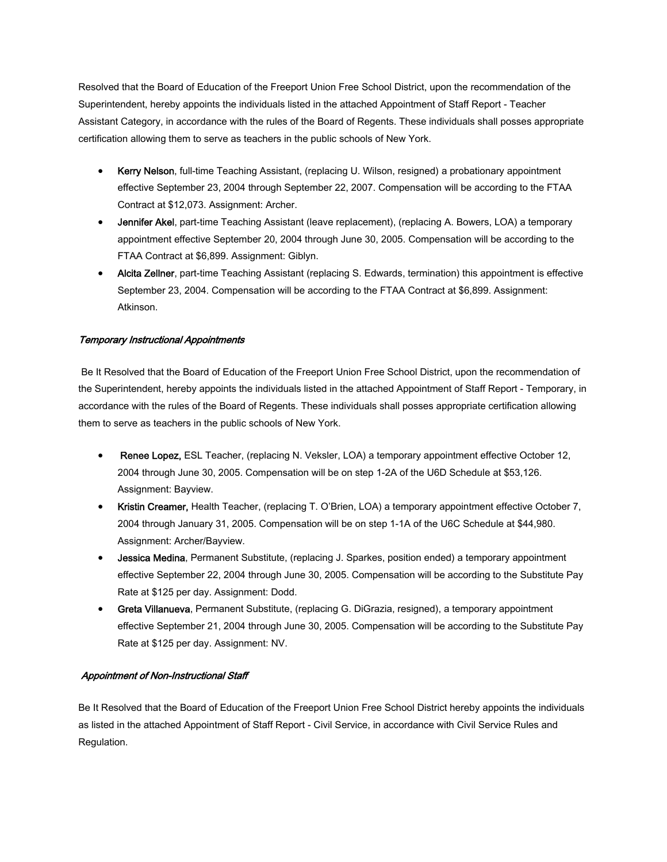Resolved that the Board of Education of the Freeport Union Free School District, upon the recommendation of the Superintendent, hereby appoints the individuals listed in the attached Appointment of Staff Report - Teacher Assistant Category, in accordance with the rules of the Board of Regents. These individuals shall posses appropriate certification allowing them to serve as teachers in the public schools of New York.

- Kerry Nelson, full-time Teaching Assistant, (replacing U. Wilson, resigned) a probationary appointment effective September 23, 2004 through September 22, 2007. Compensation will be according to the FTAA Contract at \$12,073. Assignment: Archer.
- Jennifer Akel, part-time Teaching Assistant (leave replacement), (replacing A. Bowers, LOA) a temporary appointment effective September 20, 2004 through June 30, 2005. Compensation will be according to the FTAA Contract at \$6,899. Assignment: Giblyn.
- Alcita Zellner, part-time Teaching Assistant (replacing S. Edwards, termination) this appointment is effective September 23, 2004. Compensation will be according to the FTAA Contract at \$6,899. Assignment: Atkinson.

### Temporary Instructional Appointments

 Be It Resolved that the Board of Education of the Freeport Union Free School District, upon the recommendation of the Superintendent, hereby appoints the individuals listed in the attached Appointment of Staff Report - Temporary, in accordance with the rules of the Board of Regents. These individuals shall posses appropriate certification allowing them to serve as teachers in the public schools of New York.

- Renee Lopez, ESL Teacher, (replacing N. Veksler, LOA) a temporary appointment effective October 12, 2004 through June 30, 2005. Compensation will be on step 1-2A of the U6D Schedule at \$53,126. Assignment: Bayview.
- Kristin Creamer, Health Teacher, (replacing T. O'Brien, LOA) a temporary appointment effective October 7, 2004 through January 31, 2005. Compensation will be on step 1-1A of the U6C Schedule at \$44,980. Assignment: Archer/Bayview.
- Jessica Medina, Permanent Substitute, (replacing J. Sparkes, position ended) a temporary appointment effective September 22, 2004 through June 30, 2005. Compensation will be according to the Substitute Pay Rate at \$125 per day. Assignment: Dodd.
- Greta Villanueva, Permanent Substitute, (replacing G. DiGrazia, resigned), a temporary appointment effective September 21, 2004 through June 30, 2005. Compensation will be according to the Substitute Pay Rate at \$125 per day. Assignment: NV.

### Appointment of Non-Instructional Staff

Be It Resolved that the Board of Education of the Freeport Union Free School District hereby appoints the individuals as listed in the attached Appointment of Staff Report - Civil Service, in accordance with Civil Service Rules and Regulation.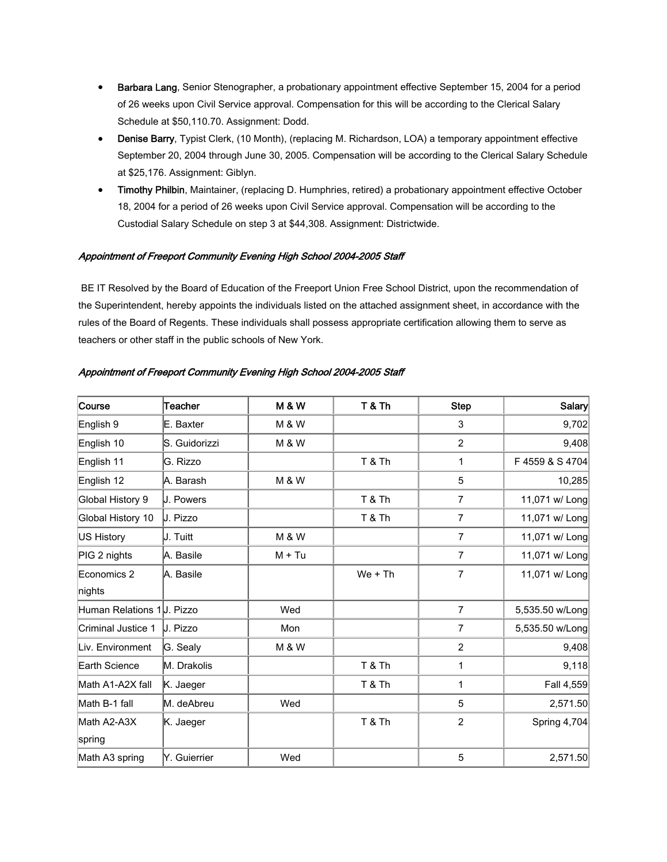- Barbara Lang, Senior Stenographer, a probationary appointment effective September 15, 2004 for a period of 26 weeks upon Civil Service approval. Compensation for this will be according to the Clerical Salary Schedule at \$50,110.70. Assignment: Dodd.
- Denise Barry, Typist Clerk, (10 Month), (replacing M. Richardson, LOA) a temporary appointment effective September 20, 2004 through June 30, 2005. Compensation will be according to the Clerical Salary Schedule at \$25,176. Assignment: Giblyn.
- Timothy Philbin, Maintainer, (replacing D. Humphries, retired) a probationary appointment effective October 18, 2004 for a period of 26 weeks upon Civil Service approval. Compensation will be according to the Custodial Salary Schedule on step 3 at \$44,308. Assignment: Districtwide.

### Appointment of Freeport Community Evening High School 2004-2005 Staff

 BE IT Resolved by the Board of Education of the Freeport Union Free School District, upon the recommendation of the Superintendent, hereby appoints the individuals listed on the attached assignment sheet, in accordance with the rules of the Board of Regents. These individuals shall possess appropriate certification allowing them to serve as teachers or other staff in the public schools of New York.

| Course                    | Teacher       | <b>M&amp;W</b>   | T&Th      | <b>Step</b>    | Salary          |
|---------------------------|---------------|------------------|-----------|----------------|-----------------|
| English 9                 | E. Baxter     | <b>M &amp; W</b> |           | 3              | 9,702           |
| English 10                | S. Guidorizzi | M & W            |           | $\overline{2}$ | 9,408           |
| English 11                | G. Rizzo      |                  | T & Th    | 1              | F4559 & S4704   |
| English 12                | A. Barash     | <b>M &amp; W</b> |           | 5              | 10,285          |
| Global History 9          | J. Powers     |                  | T & Th    | $\overline{7}$ | 11,071 w/ Long  |
| Global History 10         | J. Pizzo      |                  | T & Th    | $\overline{7}$ | 11,071 w/ Long  |
| US History                | J. Tuitt      | M & W            |           | $\overline{7}$ | 11,071 w/ Long  |
| PIG 2 nights              | A. Basile     | $M + Tu$         |           | $\overline{7}$ | 11,071 w/ Long  |
| Economics 2               | A. Basile     |                  | $We + Th$ | $\overline{7}$ | 11,071 w/ Long  |
| nights                    |               |                  |           |                |                 |
| Human Relations 1J. Pizzo |               | Wed              |           | $\overline{7}$ | 5,535.50 w/Long |
| Criminal Justice 1        | U. Pizzo      | Mon              |           | $\overline{7}$ | 5,535.50 w/Long |
| Liv. Environment          | G. Sealy      | <b>M &amp; W</b> |           | $\overline{c}$ | 9,408           |
| Earth Science             | M. Drakolis   |                  | T & Th    | 1              | 9,118           |
| Math A1-A2X fall          | K. Jaeger     |                  | T & Th    | 1              | Fall 4,559      |
| Math B-1 fall             | M. deAbreu    | Wed              |           | 5              | 2,571.50        |
| Math A2-A3X               | K. Jaeger     |                  | T & Th    | $\overline{2}$ | Spring 4,704    |
| spring                    |               |                  |           |                |                 |
| Math A3 spring            | Y. Guierrier  | Wed              |           | 5              | 2,571.50        |

### Appointment of Freeport Community Evening High School 2004-2005 Staff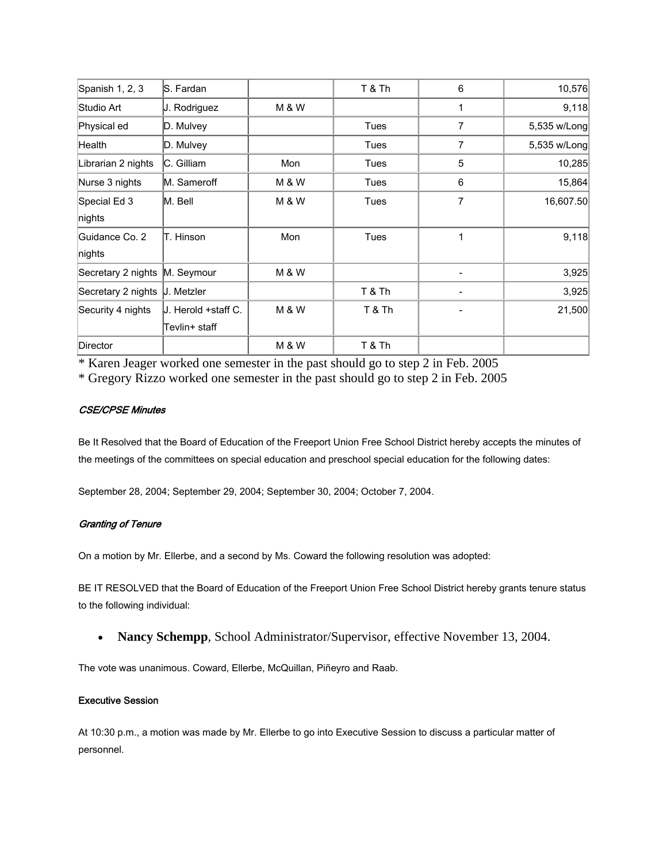| Spanish 1, 2, 3    | lS. Fardan          |                  | T & Th      | 6              | 10,576       |
|--------------------|---------------------|------------------|-------------|----------------|--------------|
| Studio Art         | J. Rodriguez        | <b>M &amp; W</b> |             | 1              | 9,118        |
| Physical ed        | D. Mulvey           |                  | Tues        | 7              | 5,535 w/Long |
| Health             | D. Mulvey           |                  | Tues        | 7              | 5,535 w/Long |
| Librarian 2 nights | C. Gilliam          | Mon              | Tues        | 5              | 10,285       |
| Nurse 3 nights     | M. Sameroff         | M & W            | Tues        | 6              | 15,864       |
| Special Ed 3       | M. Bell             | <b>M &amp; W</b> | Tues        | $\overline{7}$ | 16,607.50    |
| nights             |                     |                  |             |                |              |
| lGuidance Co. 2    | T. Hinson           | Mon              | <b>Tues</b> | $\mathbf{1}$   | 9,118        |
| nights             |                     |                  |             |                |              |
| Secretary 2 nights | M. Seymour          | <b>M &amp; W</b> |             |                | 3,925        |
| Secretary 2 nights | ∣J. Metzler         |                  | T & Th      |                | 3,925        |
| Security 4 nights  | J. Herold +staff C. | <b>M &amp; W</b> | T&Th        |                | 21,500       |
|                    | Tevlin+ staff       |                  |             |                |              |
| Director           |                     | M & W            | T & Th      |                |              |

\* Karen Jeager worked one semester in the past should go to step 2 in Feb. 2005

\* Gregory Rizzo worked one semester in the past should go to step 2 in Feb. 2005

# CSE/CPSE Minutes

Be It Resolved that the Board of Education of the Freeport Union Free School District hereby accepts the minutes of the meetings of the committees on special education and preschool special education for the following dates:

September 28, 2004; September 29, 2004; September 30, 2004; October 7, 2004.

# Granting of Tenure

On a motion by Mr. Ellerbe, and a second by Ms. Coward the following resolution was adopted:

BE IT RESOLVED that the Board of Education of the Freeport Union Free School District hereby grants tenure status to the following individual:

• **Nancy Schempp**, School Administrator/Supervisor, effective November 13, 2004.

The vote was unanimous. Coward, Ellerbe, McQuillan, Piñeyro and Raab.

# Executive Session

At 10:30 p.m., a motion was made by Mr. Ellerbe to go into Executive Session to discuss a particular matter of personnel.